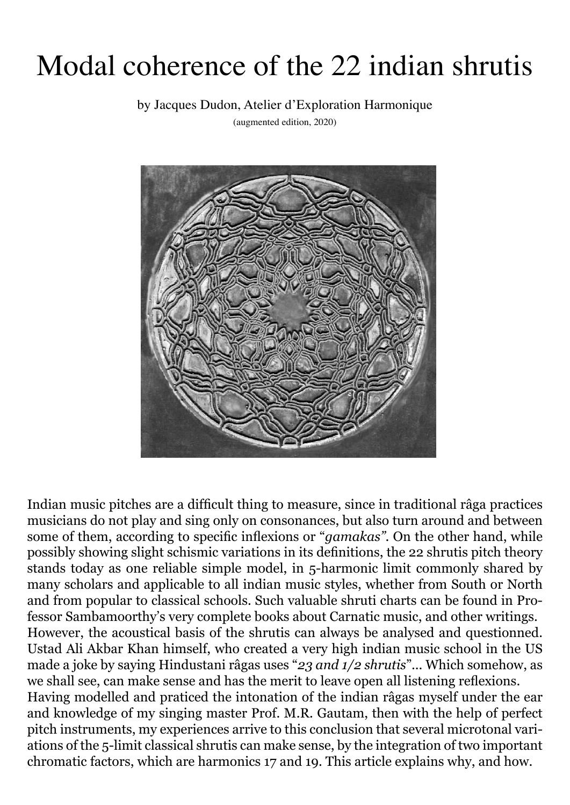## Modal coherence of the 22 indian shrutis

by Jacques Dudon, Atelier d'Exploration Harmonique

(augmented edition, 2020)



Indian music pitches are a difficult thing to measure, since in traditional râga practices musicians do not play and sing only on consonances, but also turn around and between some of them, according to specific inflexions or "*gamakas"*. On the other hand, while possibly showing slight schismic variations in its definitions, the 22 shrutis pitch theory stands today as one reliable simple model, in 5-harmonic limit commonly shared by many scholars and applicable to all indian music styles, whether from South or North and from popular to classical schools. Such valuable shruti charts can be found in Professor Sambamoorthy's very complete books about Carnatic music, and other writings. However, the acoustical basis of the shrutis can always be analysed and questionned. Ustad Ali Akbar Khan himself, who created a very high indian music school in the US made a joke by saying Hindustani râgas uses "*23 and 1/2 shrutis*"... Which somehow, as we shall see, can make sense and has the merit to leave open all listening reflexions. Having modelled and praticed the intonation of the indian râgas myself under the ear and knowledge of my singing master Prof. M.R. Gautam, then with the help of perfect pitch instruments, my experiences arrive to this conclusion that several microtonal variations of the 5-limit classical shrutis can make sense, by the integration of two important chromatic factors, which are harmonics 17 and 19. This article explains why, and how.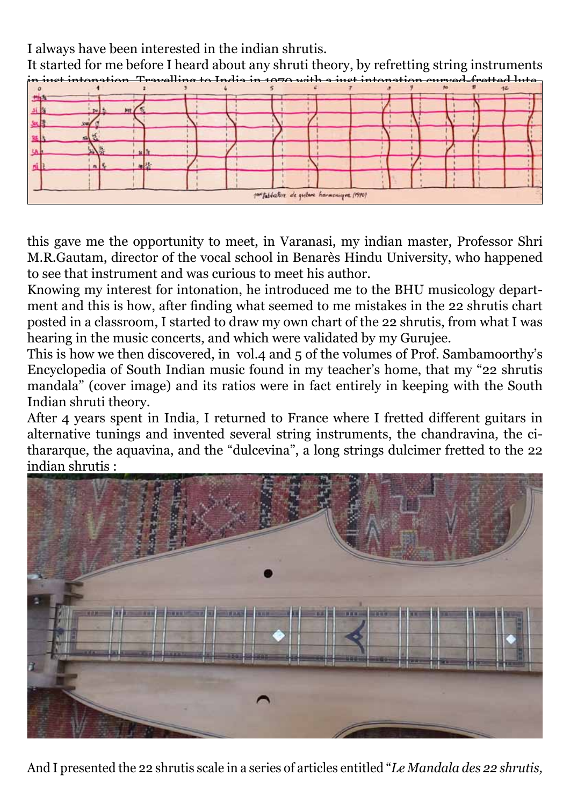I always have been interested in the indian shrutis.

It started for me before I heard about any shruti theory, by refretting string instruments in just intonation. Travelling to India in 1970 with a just intonation curved-fretted lute*,*



this gave me the opportunity to meet, in Varanasi, my indian master, Professor Shri M.R.Gautam, director of the vocal school in Benarès Hindu University, who happened to see that instrument and was curious to meet his author.

Knowing my interest for intonation, he introduced me to the BHU musicology department and this is how, after finding what seemed to me mistakes in the 22 shrutis chart posted in a classroom, I started to draw my own chart of the 22 shrutis, from what I was hearing in the music concerts, and which were validated by my Gurujee.

This is how we then discovered, in vol.4 and 5 of the volumes of Prof. Sambamoorthy's Encyclopedia of South Indian music found in my teacher's home, that my "22 shrutis mandala" (cover image) and its ratios were in fact entirely in keeping with the South Indian shruti theory.

After 4 years spent in India, I returned to France where I fretted different guitars in alternative tunings and invented several string instruments, the chandravina, the cithararque, the aquavina, and the "dulcevina", a long strings dulcimer fretted to the 22 indian shrutis :



And I presented the 22 shrutis scale in a series of articles entitled "*Le Mandala des 22 shrutis,*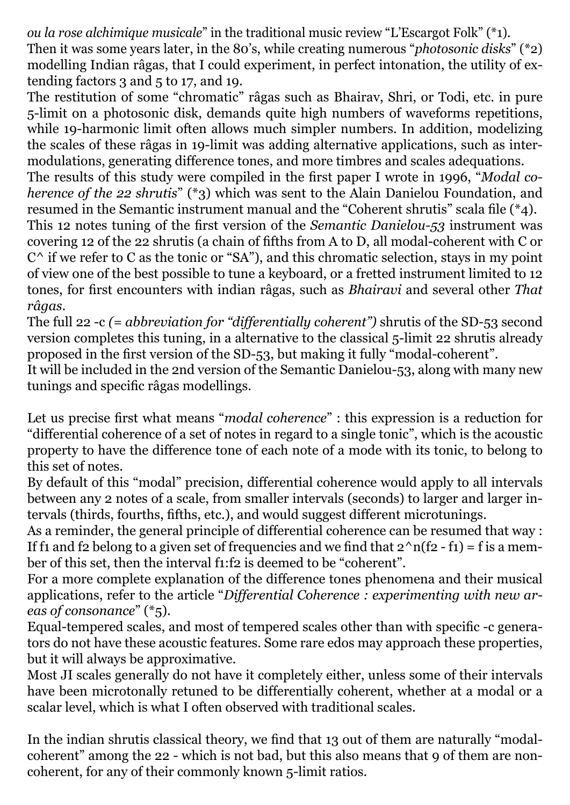*ou la rose alchimique musicale*" in the traditional music review "L'Escargot Folk" (\*1). Then it was some years later, in the 80's, while creating numerous "*photosonic disks*" (\*2) modelling Indian râgas, that I could experiment, in perfect intonation, the utility of extending factors 3 and 5 to 17, and 19.

The restitution of some "chromatic" râgas such as Bhairav, Shri, or Todi, etc. in pure 5-limit on a photosonic disk, demands quite high numbers of waveforms repetitions, while 19-harmonic limit often allows much simpler numbers. In addition, modelizing the scales of these râgas in 19-limit was adding alternative applications, such as intermodulations, generating difference tones, and more timbres and scales adequations.

The results of this study were compiled in the first paper I wrote in 1996, "*Modal coherence of the 22 shrutis*" (\*3) which was sent to the Alain Danielou Foundation, and resumed in the Semantic instrument manual and the "Coherent shrutis" scala file (\*4).

This 12 notes tuning of the first version of the *Semantic Danielou-53* instrument was covering 12 of the 22 shrutis (a chain of fifths from A to D, all modal-coherent with C or  $C^{\wedge}$  if we refer to C as the tonic or "SA"), and this chromatic selection, stays in my point of view one of the best possible to tune a keyboard, or a fretted instrument limited to 12 tones, for first encounters with indian râgas, such as *Bhairavi* and several other *That râgas*.

The full 22 -c *(= abbreviation for "differentially coherent")* shrutis of the SD-53 second version completes this tuning, in a alternative to the classical 5-limit 22 shrutis already proposed in the first version of the SD-53, but making it fully "modal-coherent".

It will be included in the 2nd version of the Semantic Danielou-53, along with many new tunings and specific râgas modellings.

Let us precise first what means "*modal coherence*" : this expression is a reduction for "differential coherence of a set of notes in regard to a single tonic", which is the acoustic property to have the difference tone of each note of a mode with its tonic, to belong to this set of notes.

By default of this "modal" precision, differential coherence would apply to all intervals between any 2 notes of a scale, from smaller intervals (seconds) to larger and larger intervals (thirds, fourths, fifths, etc.), and would suggest different microtunings.

As a reminder, the general principle of differential coherence can be resumed that way : If f1 and f2 belong to a given set of frequencies and we find that  $2^n n(f2 - f1) = f$  is a member of this set, then the interval f1:f2 is deemed to be "coherent".

For a more complete explanation of the difference tones phenomena and their musical applications, refer to the article "*Differential Coherence : experimenting with new areas of consonance*" (\*5).

Equal-tempered scales, and most of tempered scales other than with specific -c generators do not have these acoustic features. Some rare edos may approach these properties, but it will always be approximative.

Most JI scales generally do not have it completely either, unless some of their intervals have been microtonally retuned to be differentially coherent, whether at a modal or a scalar level, which is what I often observed with traditional scales.

In the indian shrutis classical theory, we find that 13 out of them are naturally "modalcoherent" among the 22 - which is not bad, but this also means that 9 of them are noncoherent, for any of their commonly known 5-limit ratios.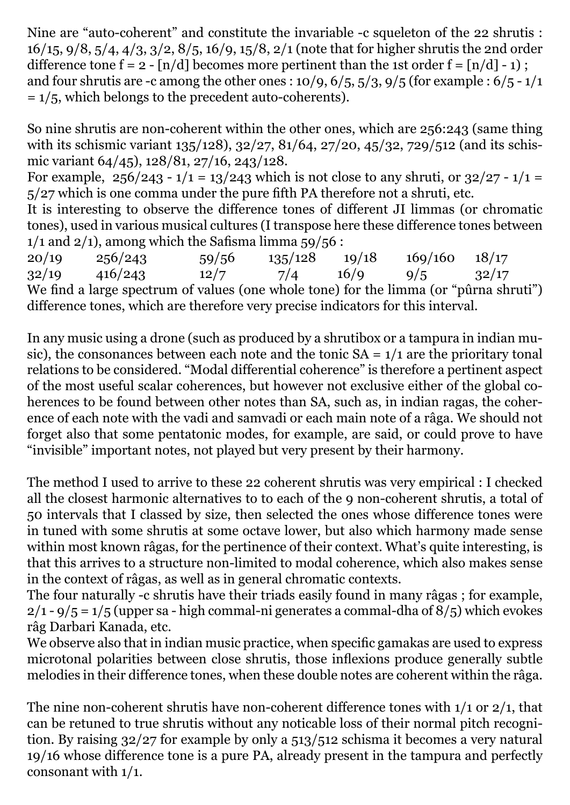Nine are "auto-coherent" and constitute the invariable -c squeleton of the 22 shrutis : 16/15, 9/8, 5/4, 4/3, 3/2, 8/5, 16/9, 15/8, 2/1 (note that for higher shrutis the 2nd order difference tone  $f = 2 - \lfloor n/d \rfloor$  becomes more pertinent than the 1st order  $f = \lfloor n/d \rfloor - 1$ ; and four shrutis are -c among the other ones :  $10/9$ ,  $6/5$ ,  $5/3$ ,  $9/5$  (for example :  $6/5$  -  $1/1$  $= 1/5$ , which belongs to the precedent auto-coherents).

So nine shrutis are non-coherent within the other ones, which are 256:243 (same thing with its schismic variant 135/128), 32/27, 81/64, 27/20, 45/32, 729/512 (and its schismic variant 64/45), 128/81, 27/16, 243/128.

For example,  $256/243 - 1/1 = 13/243$  which is not close to any shruti, or  $32/27 - 1/1 =$ 5/27 which is one comma under the pure fifth PA therefore not a shruti, etc.

It is interesting to observe the difference tones of different JI limmas (or chromatic tones), used in various musical cultures (I transpose here these difference tones between  $1/1$  and  $2/1$ ), among which the Safisma limma  $\frac{1}{5}9/56$ :

20/19 256/243 59/56 135/128 19/18 169/160 18/17 32/19 416/243 12/7 7/4 16/9 9/5 32/17 We find a large spectrum of values (one whole tone) for the limma (or "pûrna shruti") difference tones, which are therefore very precise indicators for this interval.

In any music using a drone (such as produced by a shrutibox or a tampura in indian music), the consonances between each note and the tonic  $SA = 1/1$  are the prioritary tonal relations to be considered. "Modal differential coherence" is therefore a pertinent aspect of the most useful scalar coherences, but however not exclusive either of the global coherences to be found between other notes than SA, such as, in indian ragas, the coherence of each note with the vadi and samvadi or each main note of a râga. We should not forget also that some pentatonic modes, for example, are said, or could prove to have "invisible" important notes, not played but very present by their harmony.

The method I used to arrive to these 22 coherent shrutis was very empirical : I checked all the closest harmonic alternatives to to each of the 9 non-coherent shrutis, a total of 50 intervals that I classed by size, then selected the ones whose difference tones were in tuned with some shrutis at some octave lower, but also which harmony made sense within most known râgas, for the pertinence of their context. What's quite interesting, is that this arrives to a structure non-limited to modal coherence, which also makes sense in the context of râgas, as well as in general chromatic contexts.

The four naturally -c shrutis have their triads easily found in many râgas ; for example,  $2/1 - 9/5 = 1/5$  (upper sa - high commal-ni generates a commal-dha of  $8/5$ ) which evokes râg Darbari Kanada, etc.

We observe also that in indian music practice, when specific gamakas are used to express microtonal polarities between close shrutis, those inflexions produce generally subtle melodies in their difference tones, when these double notes are coherent within the râga.

The nine non-coherent shrutis have non-coherent difference tones with 1/1 or 2/1, that can be retuned to true shrutis without any noticable loss of their normal pitch recognition. By raising 32/27 for example by only a 513/512 schisma it becomes a very natural 19/16 whose difference tone is a pure PA, already present in the tampura and perfectly consonant with 1/1.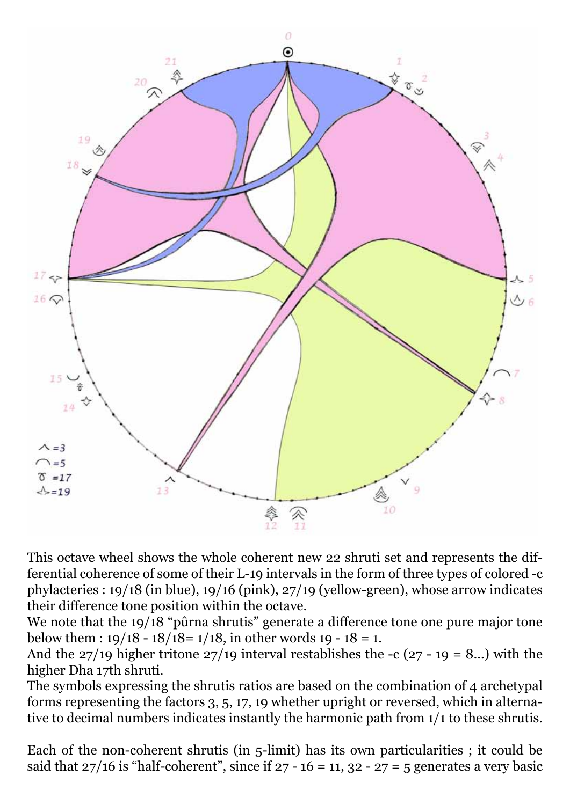

This octave wheel shows the whole coherent new 22 shruti set and represents the differential coherence of some of their L-19 intervals in the form of three types of colored -c phylacteries : 19/18 (in blue), 19/16 (pink), 27/19 (yellow-green), whose arrow indicates their difference tone position within the octave.

We note that the 19/18 "pûrna shrutis" generate a difference tone one pure major tone below them :  $19/18 - 18/18 = 1/18$ , in other words 19 - 18 = 1.

And the  $27/19$  higher tritone  $27/19$  interval restablishes the -c  $(27 - 19 = 8...)$  with the higher Dha 17th shruti.

The symbols expressing the shrutis ratios are based on the combination of 4 archetypal forms representing the factors 3, 5, 17, 19 whether upright or reversed, which in alternative to decimal numbers indicates instantly the harmonic path from 1/1 to these shrutis.

Each of the non-coherent shrutis (in 5-limit) has its own particularities ; it could be said that  $27/16$  is "half-coherent", since if  $27 - 16 = 11$ ,  $32 - 27 = 5$  generates a very basic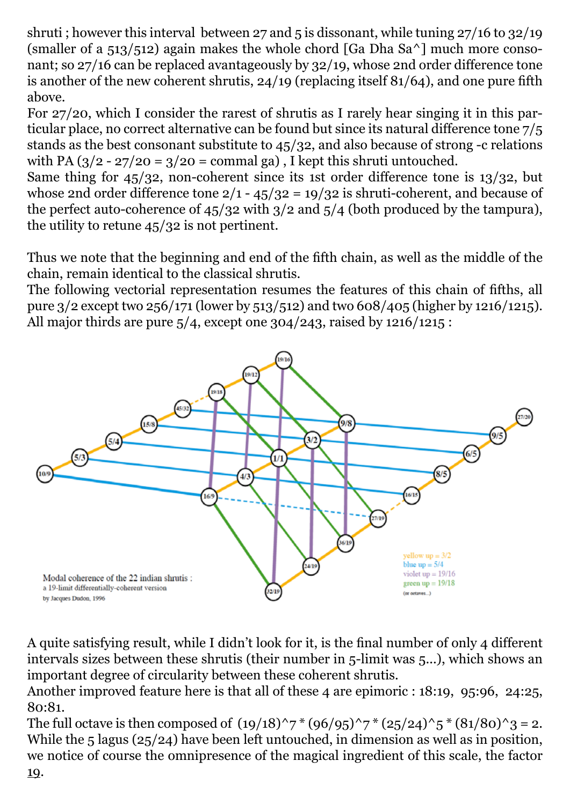shruti ; however this interval between 27 and 5 is dissonant, while tuning 27/16 to 32/19 (smaller of a  $513/512$ ) again makes the whole chord [Ga Dha Sa<sup> $\land$ </sup>] much more consonant; so 27/16 can be replaced avantageously by 32/19, whose 2nd order difference tone is another of the new coherent shrutis, 24/19 (replacing itself 81/64), and one pure fifth above.

For 27/20, which I consider the rarest of shrutis as I rarely hear singing it in this particular place, no correct alternative can be found but since its natural difference tone 7/5 stands as the best consonant substitute to 45/32, and also because of strong -c relations with PA  $\left(\frac{3}{2} - \frac{27}{20} = \frac{3}{20} = \text{command gal}\right)$ , I kept this shruti untouched.

Same thing for 45/32, non-coherent since its 1st order difference tone is 13/32, but whose 2nd order difference tone  $2/1 - 45/32 = 19/32$  is shruti-coherent, and because of the perfect auto-coherence of 45/32 with 3/2 and 5/4 (both produced by the tampura), the utility to retune 45/32 is not pertinent.

Thus we note that the beginning and end of the fifth chain, as well as the middle of the chain, remain identical to the classical shrutis.

The following vectorial representation resumes the features of this chain of fifths, all pure 3/2 except two 256/171 (lower by 513/512) and two 608/405 (higher by 1216/1215). All major thirds are pure  $5/4$ , except one 304/243, raised by 1216/1215 :



A quite satisfying result, while I didn't look for it, is the final number of only 4 different intervals sizes between these shrutis (their number in 5-limit was 5...), which shows an important degree of circularity between these coherent shrutis.

Another improved feature here is that all of these 4 are epimoric : 18:19, 95:96, 24:25, 80:81.

The full octave is then composed of  $(19/18)^{2}$  \*  $(96/95)^{2}$  \*  $(25/24)^{2}$  5 \*  $(81/80)^{2}$  = 2. While the 5 lagus (25/24) have been left untouched, in dimension as well as in position, we notice of course the omnipresence of the magical ingredient of this scale, the factor 19.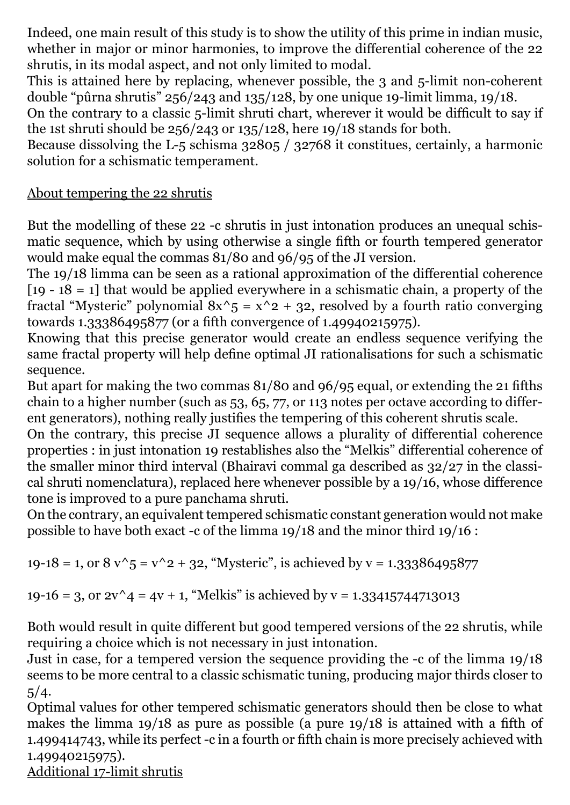Indeed, one main result of this study is to show the utility of this prime in indian music, whether in major or minor harmonies, to improve the differential coherence of the 22 shrutis, in its modal aspect, and not only limited to modal.

This is attained here by replacing, whenever possible, the 3 and 5-limit non-coherent double "pûrna shrutis" 256/243 and 135/128, by one unique 19-limit limma, 19/18.

On the contrary to a classic 5-limit shruti chart, wherever it would be difficult to say if the 1st shruti should be 256/243 or 135/128, here 19/18 stands for both.

Because dissolving the L-5 schisma 32805 / 32768 it constitues, certainly, a harmonic solution for a schismatic temperament.

## About tempering the 22 shrutis

But the modelling of these 22 -c shrutis in just intonation produces an unequal schismatic sequence, which by using otherwise a single fifth or fourth tempered generator would make equal the commas 81/80 and 96/95 of the JI version.

The 19/18 limma can be seen as a rational approximation of the differential coherence [19 -  $18 = 1$ ] that would be applied everywhere in a schismatic chain, a property of the fractal "Mysteric" polynomial  $8x^5 = x^2 + 32$ , resolved by a fourth ratio converging towards 1.33386495877 (or a fifth convergence of 1.49940215975).

Knowing that this precise generator would create an endless sequence verifying the same fractal property will help define optimal JI rationalisations for such a schismatic sequence.

But apart for making the two commas 81/80 and 96/95 equal, or extending the 21 fifths chain to a higher number (such as 53, 65, 77, or 113 notes per octave according to different generators), nothing really justifies the tempering of this coherent shrutis scale.

On the contrary, this precise JI sequence allows a plurality of differential coherence properties : in just intonation 19 restablishes also the "Melkis" differential coherence of the smaller minor third interval (Bhairavi commal ga described as 32/27 in the classical shruti nomenclatura), replaced here whenever possible by a 19/16, whose difference tone is improved to a pure panchama shruti.

On the contrary, an equivalent tempered schismatic constant generation would not make possible to have both exact -c of the limma 19/18 and the minor third 19/16 :

19-18 = 1, or  $8 \sqrt{5} = \sqrt{2} + 32$ , "Mysteric", is achieved by  $v = 1.33386495877$ 

19-16 = 3, or  $2v^4 = 4v + 1$ , "Melkis" is achieved by  $v = 1.33415744713013$ 

Both would result in quite different but good tempered versions of the 22 shrutis, while requiring a choice which is not necessary in just intonation.

Just in case, for a tempered version the sequence providing the -c of the limma 19/18 seems to be more central to a classic schismatic tuning, producing major thirds closer to  $5/4.$ 

Optimal values for other tempered schismatic generators should then be close to what makes the limma 19/18 as pure as possible (a pure 19/18 is attained with a fifth of 1.499414743, while its perfect -c in a fourth or fifth chain is more precisely achieved with 1.49940215975).

Additional 17-limit shrutis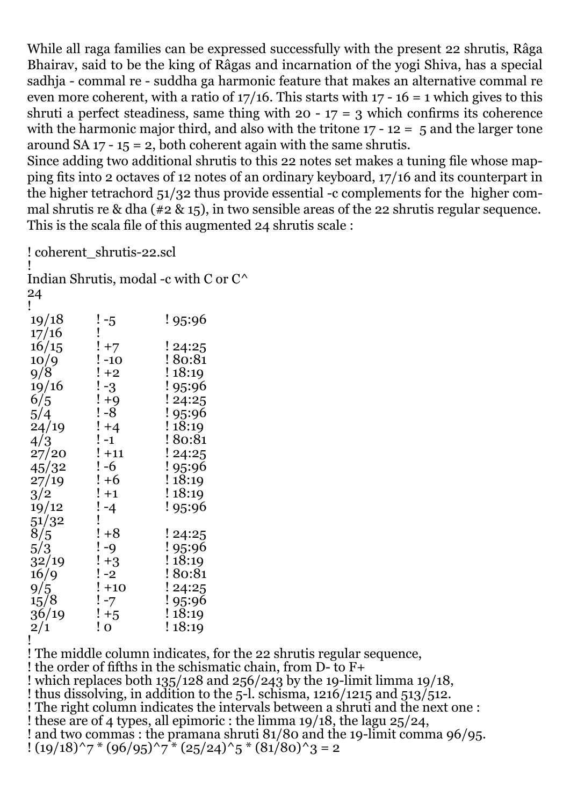While all raga families can be expressed successfully with the present 22 shrutis, Râga Bhairav, said to be the king of Râgas and incarnation of the yogi Shiva, has a special sadhja - commal re - suddha ga harmonic feature that makes an alternative commal re even more coherent, with a ratio of  $17/16$ . This starts with  $17 - 16 = 1$  which gives to this shruti a perfect steadiness, same thing with  $20 - 17 = 3$  which confirms its coherence with the harmonic major third, and also with the tritone  $17 - 12 = 5$  and the larger tone around SA  $17 - 15 = 2$ , both coherent again with the same shrutis.

Since adding two additional shrutis to this 22 notes set makes a tuning file whose mapping fits into 2 octaves of 12 notes of an ordinary keyboard, 17/16 and its counterpart in the higher tetrachord 51/32 thus provide essential -c complements for the higher commal shrutis re & dha ( $\neq 2$  & 15), in two sensible areas of the 22 shrutis regular sequence. This is the scala file of this augmented 24 shrutis scale :

! coherent\_shrutis-22.scl

! Indian Shrutis, modal -c with C or C^ 24

| 19/18 |                                                                                                                                      | ! 95:96 |
|-------|--------------------------------------------------------------------------------------------------------------------------------------|---------|
| 17/16 | ! -5<br>!                                                                                                                            |         |
| 16/15 |                                                                                                                                      | ! 24:25 |
| 10/9  |                                                                                                                                      | ! 80:81 |
| 9/8   | ! +7<br>! -10<br>! +2                                                                                                                | !18:19  |
| 19/16 | $\begin{array}{c} 1-3 \\ +9 \\ -8 \end{array}$                                                                                       | ! 95:96 |
| 6/5   |                                                                                                                                      | ! 24:25 |
| 5/4   |                                                                                                                                      | ! 95:96 |
| 24/19 | $\frac{!}{!}$ +4<br>$\frac{!}{!}$ -1                                                                                                 | !18:19  |
| 4/3   |                                                                                                                                      | ! 80:81 |
| 27/20 | $! + 11$                                                                                                                             | ! 24:25 |
| 45/32 | $! -6$                                                                                                                               | ! 95:96 |
| 27/19 | $! + 6$                                                                                                                              | !18:19  |
| 3/2   | $!+1$                                                                                                                                | !18:19  |
| 19/12 |                                                                                                                                      | ! 95:96 |
| 51/32 |                                                                                                                                      |         |
| 8/5   |                                                                                                                                      | ! 24:25 |
| 5/3   |                                                                                                                                      | ! 95:96 |
| 32/19 | $\begin{array}{c} ! \text{-}4 \\ \text{!} \text{ } +8 \\ \text{!} \text{-}9 \\ \text{!} \text{+}3 \\ \text{!} \text{-}2 \end{array}$ | !18:19  |
| 16/9  |                                                                                                                                      | ! 80:81 |
| 9/5   | $! +10$                                                                                                                              | ! 24:25 |
| 15/8  | $! -7$                                                                                                                               | ! 95:96 |
| 36/19 | $! + 5$                                                                                                                              | !18:19  |
| 2/1   | ! o                                                                                                                                  | !18:19  |
| i     |                                                                                                                                      |         |

! The middle column indicates, for the 22 shrutis regular sequence, ! the order of fifths in the schismatic chain, from D- to F+ ! which replaces both 135/128 and 256/243 by the 19-limit limma 19/18, ! thus dissolving, in addition to the 5-l. schisma, 1216/1215 and 513/512. ! The right column indicates the intervals between a shruti and the next one : ! these are of 4 types, all epimoric : the limma 19/18, the lagu 25/24, ! and two commas : the pramana shruti 81/80 and the 19-limit comma 96/95.  $!(19/18)^{2}$   $7*(96/95)^{2}$   $7*(25/24)^{2}$   $5*(81/80)^{2}$   $3=2$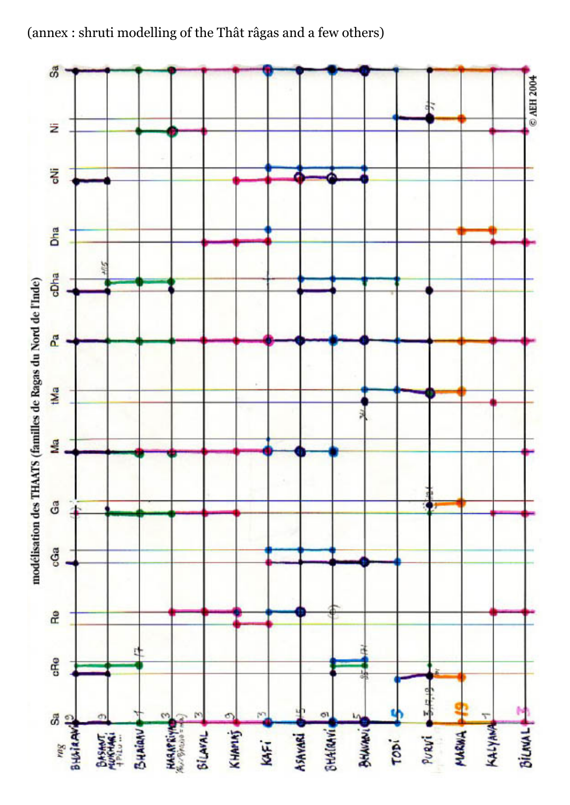(annex : shruti modelling of the Thât râgas and a few others)